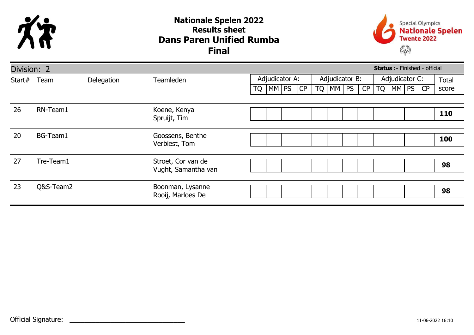

## Dans Paren Unified Rumba Nationale Spelen 2022 Results sheet Final



| <b>Status :- Finished - official</b><br>Division: 2 |           |            |                                           |           |  |                |    |    |                |           |    |           |                |       |       |
|-----------------------------------------------------|-----------|------------|-------------------------------------------|-----------|--|----------------|----|----|----------------|-----------|----|-----------|----------------|-------|-------|
| Start#                                              | Team      | Delegation | <b>Teamleden</b>                          |           |  | Adjudicator A: |    |    | Adjudicator B: |           |    |           | Adjudicator C: | Total |       |
|                                                     |           |            |                                           | <b>TQ</b> |  | MM PS          | CP | TQ | MM             | <b>PS</b> | CP | <b>TQ</b> | MM PS          | CP    | score |
|                                                     |           |            |                                           |           |  |                |    |    |                |           |    |           |                |       |       |
| 26                                                  | RN-Team1  |            | Koene, Kenya<br>Spruijt, Tim              |           |  |                |    |    |                |           |    |           |                |       | 110   |
|                                                     |           |            |                                           |           |  |                |    |    |                |           |    |           |                |       |       |
| 20                                                  | BG-Team1  |            | Goossens, Benthe<br>Verbiest, Tom         |           |  |                |    |    |                |           |    |           |                |       | 100   |
|                                                     |           |            |                                           |           |  |                |    |    |                |           |    |           |                |       |       |
| 27                                                  | Tre-Team1 |            | Stroet, Cor van de<br>Vught, Samantha van |           |  |                |    |    |                |           |    |           |                |       | 98    |
|                                                     |           |            |                                           |           |  |                |    |    |                |           |    |           |                |       |       |
| 23                                                  | Q&S-Team2 |            | Boonman, Lysanne<br>Rooij, Marloes De     |           |  |                |    |    |                |           |    |           |                |       | 98    |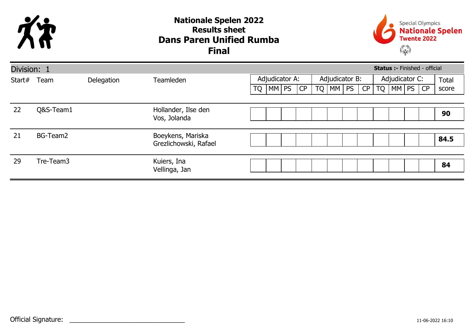

## Dans Paren Unified Rumba Nationale Spelen 2022 Results sheet Final



| <b>Status :- Finished - official</b><br>Division: 1 |           |            |                                            |                |    |    |    |           |                |  |           |                |       |       |    |       |
|-----------------------------------------------------|-----------|------------|--------------------------------------------|----------------|----|----|----|-----------|----------------|--|-----------|----------------|-------|-------|----|-------|
| Start#                                              | Team      | Delegation | <b>Teamleden</b>                           | Adjudicator A: |    |    |    |           | Adjudicator B: |  |           | Adjudicator C: | Total |       |    |       |
|                                                     |           |            |                                            | <b>TQ</b>      | MM | PS | CP | <b>TQ</b> | MM PS          |  | <b>CP</b> | TQ             |       | MM PS | CP | score |
|                                                     |           |            |                                            |                |    |    |    |           |                |  |           |                |       |       |    |       |
| 22                                                  | Q&S-Team1 |            | Hollander, Ilse den<br>Vos, Jolanda        |                |    |    |    |           |                |  |           |                |       |       |    | 90    |
| 21                                                  | BG-Team2  |            | Boeykens, Mariska<br>Grezlichowski, Rafael |                |    |    |    |           |                |  |           |                |       |       |    | 84.5  |
| 29                                                  | Tre-Team3 |            | Kuiers, Ina<br>Vellinga, Jan               |                |    |    |    |           |                |  |           |                |       |       |    | 84    |